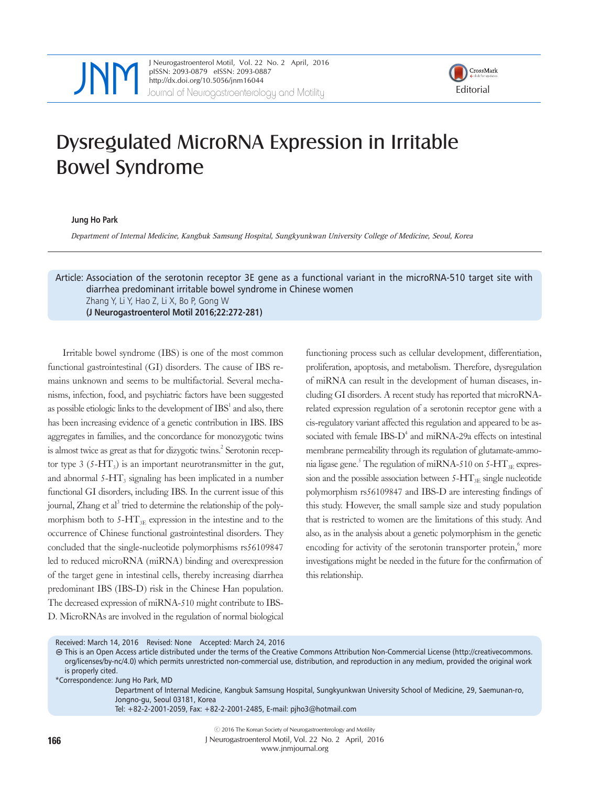

JNeurogastroenterol Motil, Vol. 22 No. 2 April, 2016<br>
pISSN: 2093-0879 eISSN: 2093-0887<br>
http://dx.doi.org/10.5056/jnm16044<br>
Journal of Neurogastroenterology and Motility<br>
Editorial pISSN: 2093-0879 eISSN: 2093-0887 http://dx.doi.org/10.5056/jnm16044



## Dysregulated MicroRNA Expression in Irritable Bowel Syndrome

**Jung Ho Park** 

Department of Internal Medicine, Kangbuk Samsung Hospital, Sungkyunkwan University College of Medicine, Seoul, Korea

Article: Association of the serotonin receptor 3E gene as a functional variant in the microRNA-510 target site with diarrhea predominant irritable bowel syndrome in Chinese women Zhang Y, Li Y, Hao Z, Li X, Bo P, Gong W **(J Neurogastroenterol Motil 2016;22:272-281)**

Irritable bowel syndrome (IBS) is one of the most common functional gastrointestinal (GI) disorders. The cause of IBS remains unknown and seems to be multifactorial. Several mechanisms, infection, food, and psychiatric factors have been suggested as possible etiologic links to the development of  $\text{IBS}^1$  and also, there has been increasing evidence of a genetic contribution in IBS. IBS aggregates in families, and the concordance for monozygotic twins is almost twice as great as that for dizygotic twins.<sup>2</sup> Serotonin receptor type  $3$  (5-HT<sub>3</sub>) is an important neurotransmitter in the gut, and abnormal  $5-\text{HT}_3$  signaling has been implicated in a number functional GI disorders, including IBS. In the current issue of this journal, Zhang et al<sup>3</sup> tried to determine the relationship of the polymorphism both to  $5-\text{HT}_{3E}$  expression in the intestine and to the occurrence of Chinese functional gastrointestinal disorders. They concluded that the single-nucleotide polymorphisms rs56109847 led to reduced microRNA (miRNA) binding and overexpression of the target gene in intestinal cells, thereby increasing diarrhea predominant IBS (IBS-D) risk in the Chinese Han population. The decreased expression of miRNA-510 might contribute to IBS-D. MicroRNAs are involved in the regulation of normal biological

functioning process such as cellular development, differentiation, proliferation, apoptosis, and metabolism. Therefore, dysregulation of miRNA can result in the development of human diseases, including GI disorders. A recent study has reported that microRNArelated expression regulation of a serotonin receptor gene with a cis-regulatory variant affected this regulation and appeared to be associated with female IBS-D<sup>4</sup> and miRNA-29a effects on intestinal membrane permeability through its regulation of glutamate-ammonia ligase gene.<sup>5</sup> The regulation of miRNA-510 on 5-HT<sub>3E</sub> expression and the possible association between  $5-\text{HT}_{3E}$  single nucleotide polymorphism rs56109847 and IBS-D are interesting findings of this study. However, the small sample size and study population that is restricted to women are the limitations of this study. And also, as in the analysis about a genetic polymorphism in the genetic encoding for activity of the serotonin transporter protein,<sup>6</sup> more investigations might be needed in the future for the confirmation of this relationship.

## Received: March 14, 2016 Revised: None Accepted: March 24, 2016

This is an Open Access article distributed under the terms of the Creative Commons Attribution Non-Commercial License (http://creativecommons. org/licenses/by-nc/4.0) which permits unrestricted non-commercial use, distribution, and reproduction in any medium, provided the original work is properly cited.

Department of Internal Medicine, Kangbuk Samsung Hospital, Sungkyunkwan University School of Medicine, 29, Saemunan-ro, Jongno-gu, Seoul 03181, Korea

<sup>\*</sup>Correspondence: Jung Ho Park, MD

Tel: +82-2-2001-2059, Fax: +82-2-2001-2485, E-mail: [pjho3@hotmail.com](mailto:pjho3@hotmail.com)